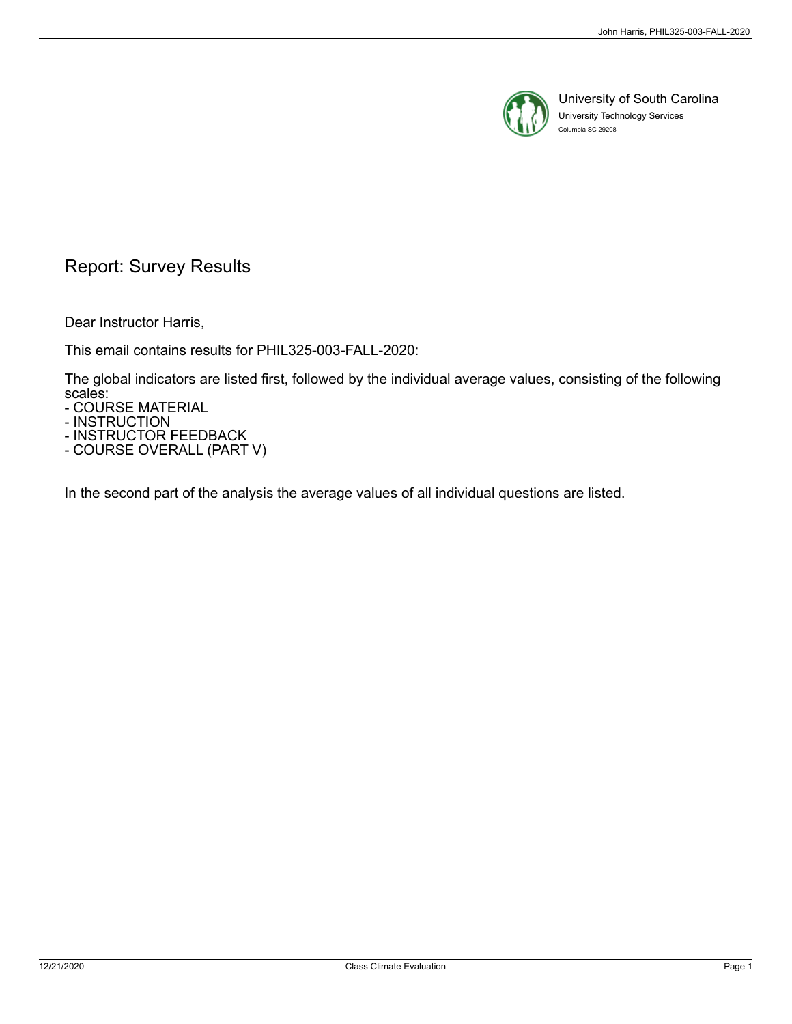

University of South Carolina University Technology Services Columbia SC 29208

# Report: Survey Results

Dear Instructor Harris,

This email contains results for PHIL325-003-FALL-2020:

The global indicators are listed first, followed by the individual average values, consisting of the following scales:

- COURSE MATERIAL

- INSTRUCTION

- INSTRUCTOR FEEDBACK - COURSE OVERALL (PART V)

In the second part of the analysis the average values of all individual questions are listed.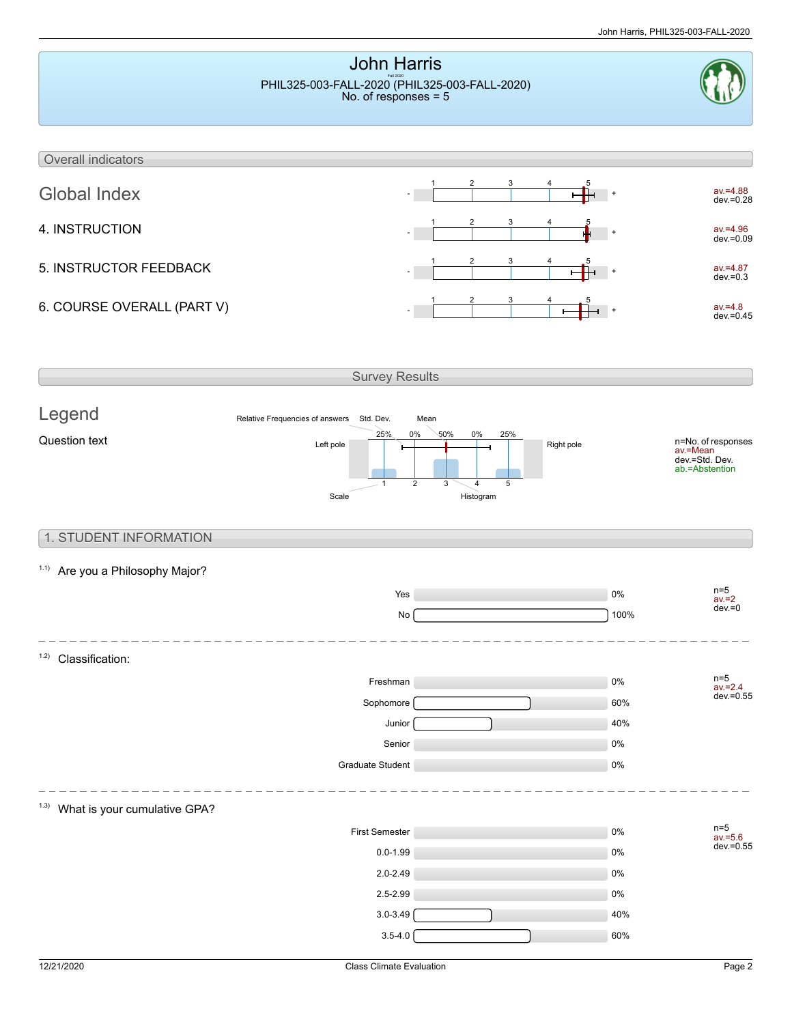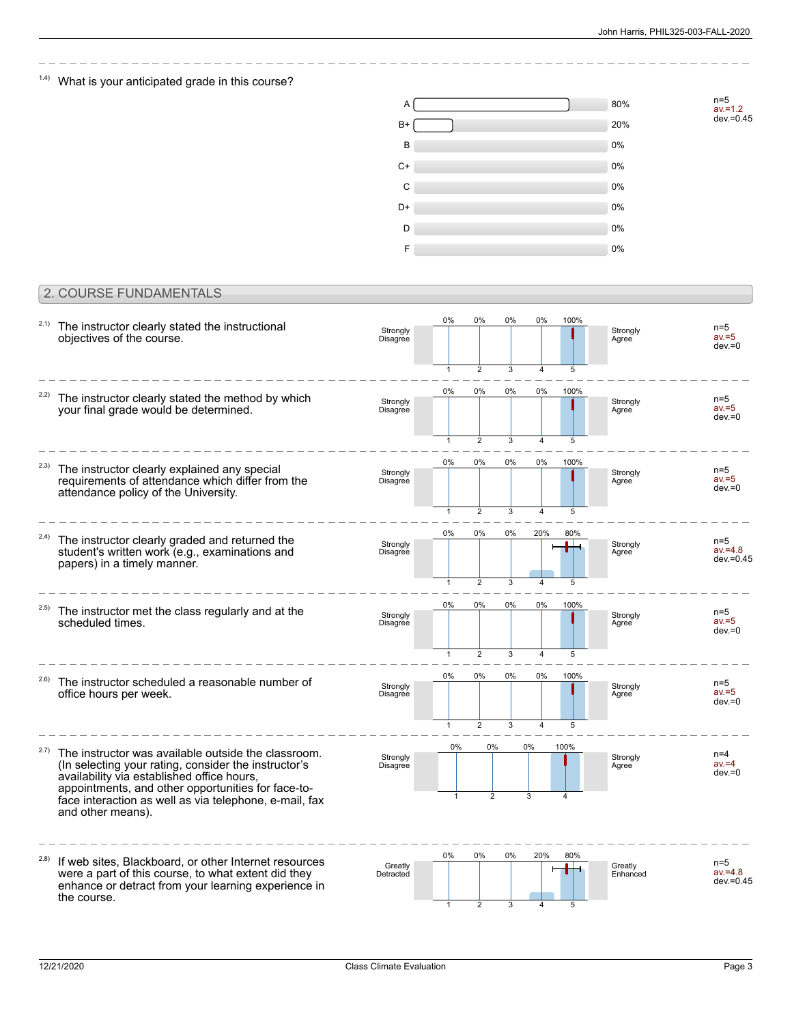$1.4$ ) What is your anticipated grade in this course?



## 2. COURSE FUNDAMENTALS

| 2.1)  | The instructor clearly stated the instructional<br>objectives of the course.                                                                                                                                                                                                                   | Strongly<br>Disagree | 0%<br>$\mathbf{1}$      | 0%<br>$\overline{2}$    | 0%<br>3 | 0%<br>4               | 100%<br>5 | Strongly<br>Agree   | $n=5$<br>$av = 5$<br>$dev = 0$      |
|-------|------------------------------------------------------------------------------------------------------------------------------------------------------------------------------------------------------------------------------------------------------------------------------------------------|----------------------|-------------------------|-------------------------|---------|-----------------------|-----------|---------------------|-------------------------------------|
| 2.2)  | The instructor clearly stated the method by which<br>your final grade would be determined.                                                                                                                                                                                                     | Strongly<br>Disagree | 0%                      | 0%                      | $0\%$   | 0%                    | 100%      | Strongly<br>Agree   | $n=5$<br>$av = 5$<br>$dev = 0$      |
| 2.3)  | The instructor clearly explained any special<br>requirements of attendance which differ from the                                                                                                                                                                                               | Strongly<br>Disagree | $\mathbf{1}$<br>0%      | $\overline{2}$<br>0%    | 3<br>0% | 0%                    | 5<br>100% | Strongly<br>Agree   | $n=5$<br>$av = 5$<br>$dev = 0$      |
| 2.4)  | attendance policy of the University.<br>The instructor clearly graded and returned the                                                                                                                                                                                                         | Strongly             | 1<br>$0\%$              | $\overline{2}$<br>$0\%$ | 3<br>0% | 20%                   | 5<br>80%  | Strongly            | $n=5$                               |
|       | student's written work (e.g., examinations and<br>papers) in a timely manner.                                                                                                                                                                                                                  | Disagree             | $\mathbf{1}$<br>$0\%$   | $\overline{2}$<br>0%    | 3<br>0% | 0%                    | 5<br>100% | Agree               | $av = 4.8$<br>$dev = 0.45$          |
| (2.5) | The instructor met the class regularly and at the<br>scheduled times.                                                                                                                                                                                                                          | Strongly<br>Disagree | $\mathbf{1}$            | $\overline{2}$          | 3       | 4                     | 5         | Strongly<br>Agree   | $n=5$<br>$av = 5$<br>$dev = 0$      |
| (2.6) | The instructor scheduled a reasonable number of<br>office hours per week.                                                                                                                                                                                                                      | Strongly<br>Disagree | 0%<br>1                 | 0%<br>$\overline{2}$    | 0%<br>3 | 0%<br>$\overline{4}$  | 100%      | Strongly<br>Agree   | $n=5$<br>$av = 5$<br>$dev = 0$      |
| 2.7)  | The instructor was available outside the classroom.<br>(In selecting your rating, consider the instructor's<br>availability via established office hours,<br>appointments, and other opportunities for face-to-<br>face interaction as well as via telephone, e-mail, fax<br>and other means). | Strongly<br>Disagree | $0\%$                   | 0%<br>$\overline{2}$    |         | 0%<br>3               | 100%      | Strongly<br>Agree   | $n=4$<br>$av = 4$<br>$dev = 0$      |
| 2.8)  | If web sites, Blackboard, or other Internet resources<br>were a part of this course, to what extent did they<br>enhance or detract from your learning experience in<br>the course.                                                                                                             | Greatly<br>Detracted | $0\%$<br>$\overline{1}$ | 0%<br>$\overline{2}$    | 0%<br>3 | 20%<br>$\overline{4}$ | 80%<br>5  | Greatly<br>Enhanced | $n=5$<br>$av = 4.8$<br>$dev = 0.45$ |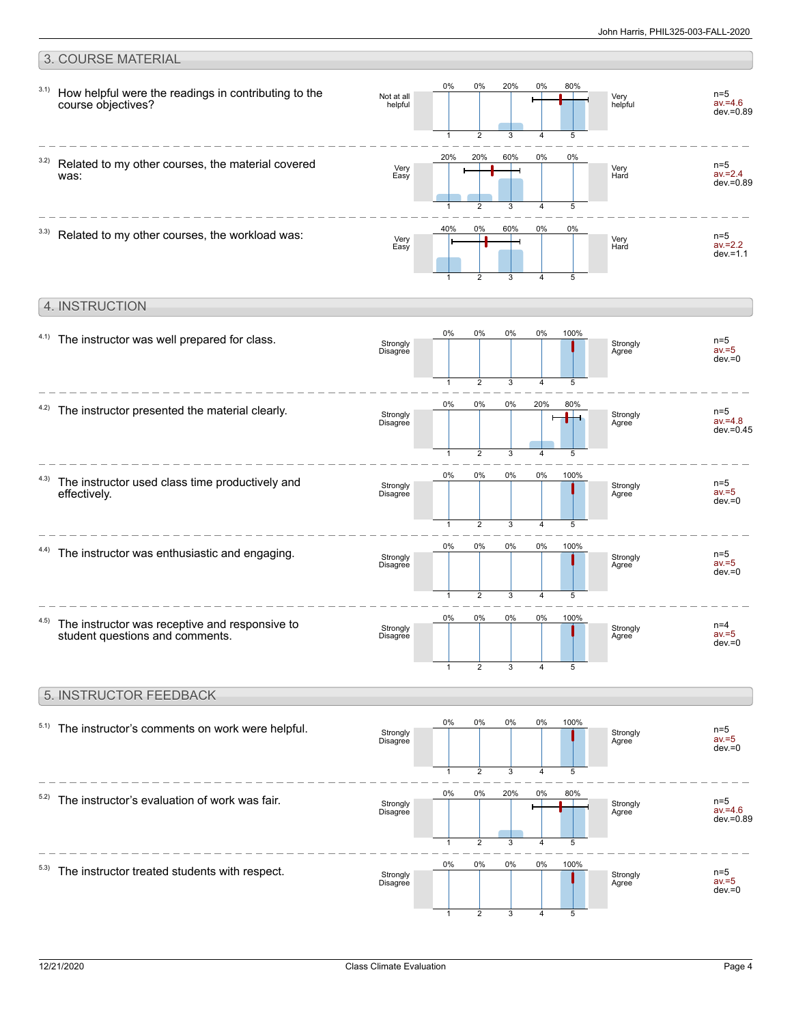#### 3. COURSE MATERIAL 0% 0% 20% 0% 80% 3.1) How helpful were the readings in contributing to the n=5 Not at all Very helpful  $av = 4.6$ course objectives? helpful dev.=0.89 5 3 4 1 2 20% 20% 60% 0% 0% 3.2) Related to my other courses, the material covered n=5 Very Very Hard av.=2.4 was: Easy  $dev = 0.89$ 3  $\overline{A}$ 5 1 2 40% 0% 60% 0% 0%  $3.3)$  Related to my other courses, the workload was: n=5 Very Easy Very Hard av.=2.2  $dev = 1.1$ 3 1 2 4 5 4. INSTRUCTION 0% 0% 0% 0% 100%  $4.1)$  The instructor was well prepared for class. n=5 Strongly Disagree Strongly Agree  $av = 5$  $dev = 0$ 3 5 1 2 4 0% 0% 0% 20% 80%  $4.2$ ) The instructor presented the material clearly. n=5 av.=4.8 Strongly  $\blacksquare$ Strongly Agree Disagree dev.=0.45  $\overline{2}$ 3 4 5 1 0% 0% 0% 0% 100% 4.3) The instructor used class time productively and  $n=5$ Strongly Disagree Strongly Agree effectively.  $av = 5$ dev.=0 3 5  $\overline{\phantom{a}}$ 4 1 0% 0% 0% 0% 100% 4.4) The instructor was enthusiastic and engaging. n=5 Strongly Strongly av.=5 Disagree Agree  $A = V - H$ 3 5 1  $\mathfrak{D}$ 4 0% 0% 0% 0% 100% 4.5) The instructor was receptive and responsive to n=4 Strongly **Strongly** student questions and comments. av.=5 Disagree Agree dev.=0 1 2 3 4 5 5. INSTRUCTOR FEEDBACK 0% 0% 0% 0% 100%  $5.1)$  The instructor's comments on work were helpful. n=5 av.=5 Strongly Disagree Strongly Agree dev.=0  $\overline{2}$ 3 4 5 1 0% 0% 20% 0% 80%  $5.2)$  The instructor's evaluation of work was fair.  $n=5$ **Strongly** Strongly Disagree н  $av = 4.6$ Agree dev.=0.89 3 5 1 2 4

0%

0%

0%

0%

100%

5

4

3

2

1

 $5.3)$  The instructor treated students with respect. Strongly Disagree

n=5 av.=5  $dev = 0$ 

**Strongly Agree**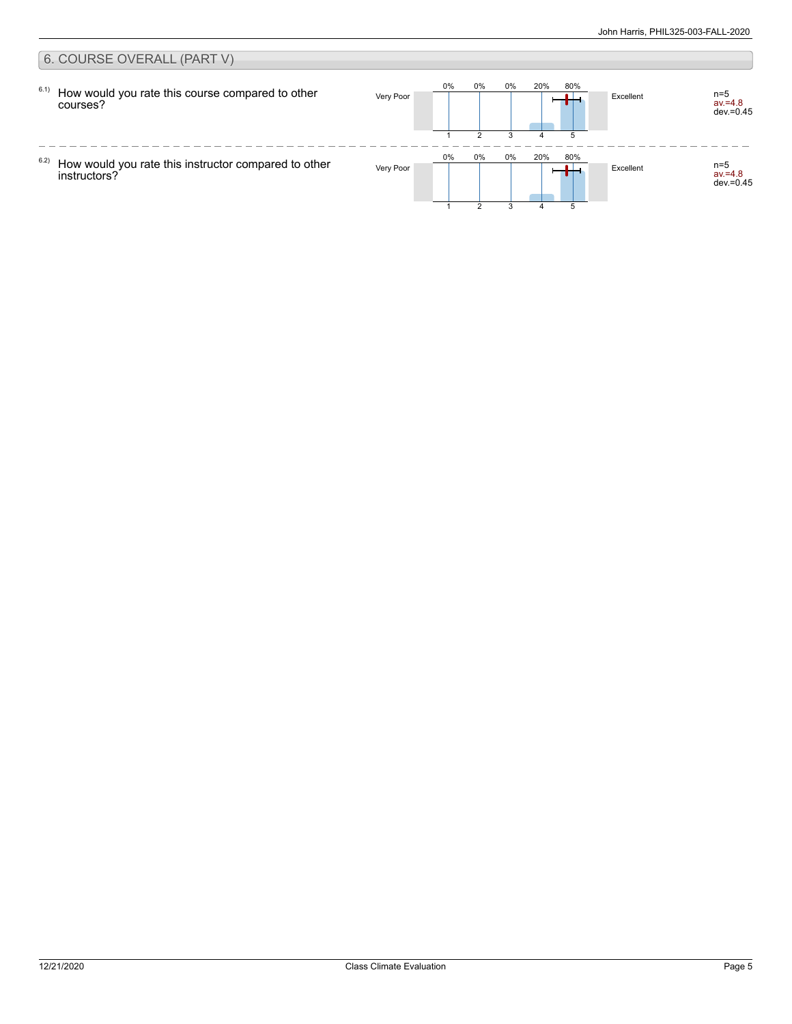#### 6. COURSE OVERALL (PART V) 0% 0% 0% 20% 80% 6.1) How would you rate this course compared to other Very Poor **Excellent** Excellent av.=4.8 dev.=0.45 courses? 1 2 3 5 4  $\frac{1}{2}$  $- - - -$ 0% 0% 0% 20% 80% 6.2) How would you rate this instructor compared to other Very Poor **Excellent** Research New York Poor av.=4.8 dev.=0.45 instructors?  $\mathfrak{p}$ 3 51 4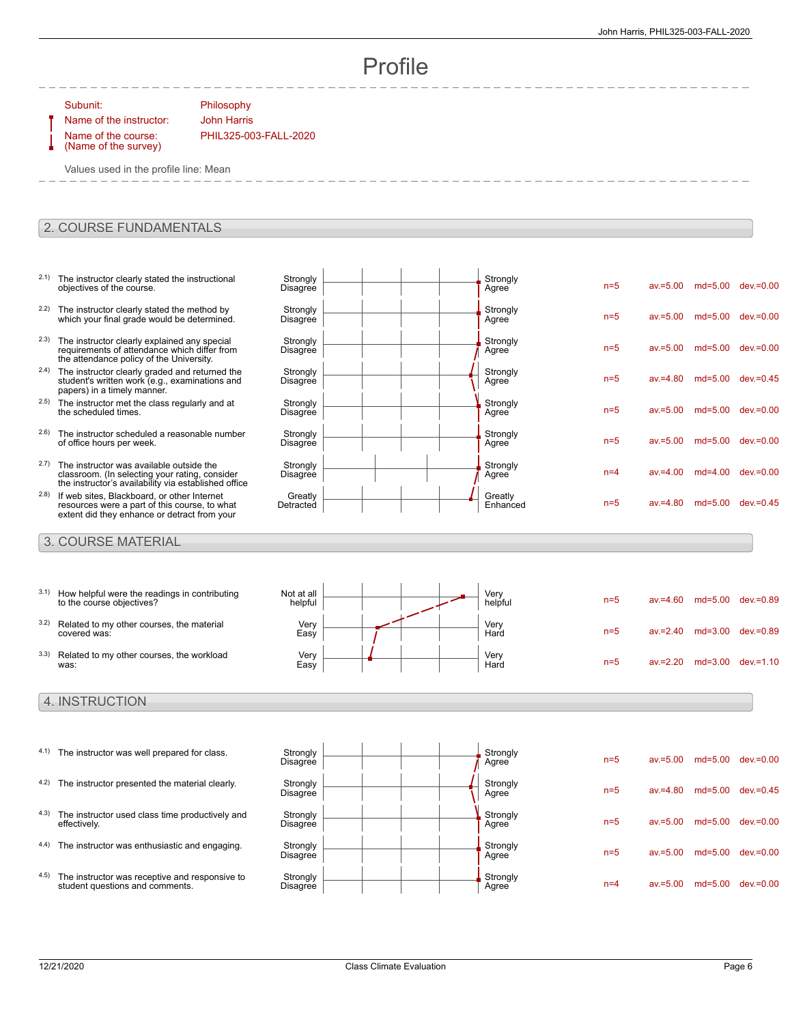n=5 av.=5.00 md=5.00 dev.=0.00

n=5 av.=5.00 md=5.00 dev.=0.00

n=5 av.=5.00 md=5.00 dev.=0.00

n=5 av.=4.80 md=5.00 dev.=0.45

n=5 av.=5.00 md=5.00 dev.=0.00

n=5 av.=5.00 md=5.00 dev.=0.00

n=4 av.=4.00 md=4.00 dev.=0.00

 $n=5$  av $=4.80$  md=5.00 dev $=0.45$ 

# Profile

Subunit: Philosophy

Name of the course: (Name of the survey)

Name of the instructor: John Harris PHIL325-003-FALL-2020

**Strongly** 

**Strongly Disagree** 

**Strongly Disagree** 

**Strongly Disagree** 

**Strongly Disagree** 

**Strongly Disagree** 

**Strongly Disagree** 

**Greatly** Detracted

Values used in the profile line: Mean

### 2. COURSE FUNDAMENTALS

- 2.1) The instructor clearly stated the instructional objectives of the course. Disagree <sup>2.2)</sup> The instructor clearly stated the method by which your final grade would be determined.
- <sup>2.3)</sup> The instructor clearly explained any special requirements of attendance which differ from the attendance policy of the University.
- <sup>2.4)</sup> The instructor clearly graded and returned the student's written work (e.g., examinations and papers) in a timely manner.
- 2.5) The instructor met the class regularly and at the scheduled times.
- 2.6) The instructor scheduled a reasonable number of office hours per week.
- 2.7) The instructor was available outside the classroom. (In selecting your rating, consider the instructor's availability via established office
- 2.8) If web sites, Blackboard, or other Internet resources were a part of this course, to what extent did they enhance or detract from your

### 3. COURSE MATERIAL

| 3.1) | How helpful were the readings in contributing<br>to the course objectives? | Not at all<br>helpful |  |  | Very<br>helpful | $n=5$ | $av = 4.60$ | $md = 5.00$ | dev.=0.89    |
|------|----------------------------------------------------------------------------|-----------------------|--|--|-----------------|-------|-------------|-------------|--------------|
| 3.2) | Related to my other courses, the material<br>covered was:                  | Very<br>Easy          |  |  | Very<br>Hard    | $n=5$ | $av = 2.40$ | $md = 3.00$ | dev.=0.89    |
| 3.3) | Related to my other courses, the workload<br>was:                          | Very<br>Easy          |  |  | Very<br>Hard    | $n=5$ | $av = 2.20$ | $md = 3.00$ | $dev = 1.10$ |

### 4. INSTRUCTION

- 4.1) The instructor was well prepared for class. Strongly 4.2) The instructor presented the material clearly. Strongly
	- 4.3) The instructor used class time productively and effectively.
	- 4.4) The instructor was enthusiastic and engaging. Strongly
	- 4.5) The instructor was receptive and responsive to student questions and comments.



Strongly<br>Agree

Strongly<br>Agree

Strongly<br>Agree

Strongly<br>Agree

Strongly<br>Agree

Strongly<br>Agree

Strongly<br>Agree

Greatly<br>Enhanced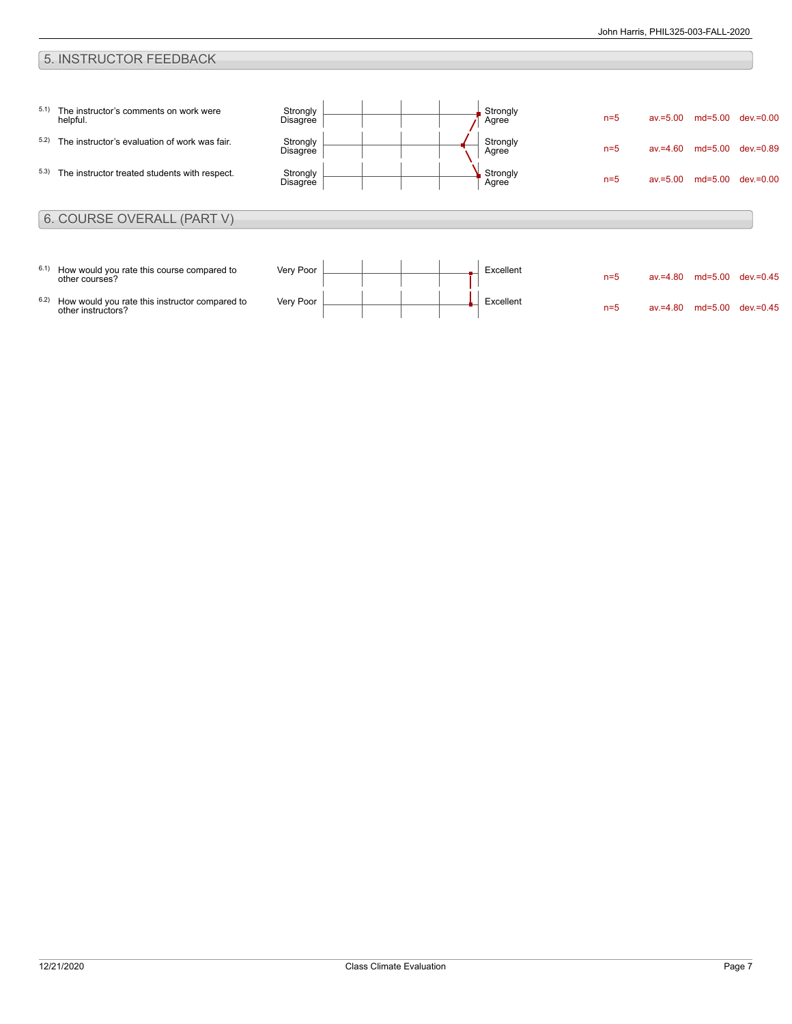## 5. INSTRUCTOR FEEDBACK

| 5.1) | The instructor's comments on work were<br>helpful.           | Strongly<br><b>Disagree</b> |  | Strongly<br>Agree        | $n=5$ | $av = 5.00$ | $md = 5.00$ | $dev = 0.00$ |
|------|--------------------------------------------------------------|-----------------------------|--|--------------------------|-------|-------------|-------------|--------------|
| 5.2) | The instructor's evaluation of work was fair.                | Strongly<br><b>Disagree</b> |  | Strongly<br>Agree        | $n=5$ | $av = 4.60$ | $md=5.00$   | $dev = 0.89$ |
| 5.3) | The instructor treated students with respect.                | Strongly<br>Disagree        |  | <b>Strongly</b><br>Agree | $n=5$ | $av = 5.00$ | $md = 5.00$ | $dev = 0.00$ |
|      |                                                              |                             |  |                          |       |             |             |              |
|      | 6. COURSE OVERALL (PART V)                                   |                             |  |                          |       |             |             |              |
| 6.1) | How would you rate this course compared to<br>other courses? | Very Poor                   |  | Excellent                | $n=5$ | $av = 4.80$ | $md=5.00$   | $dev = 0.45$ |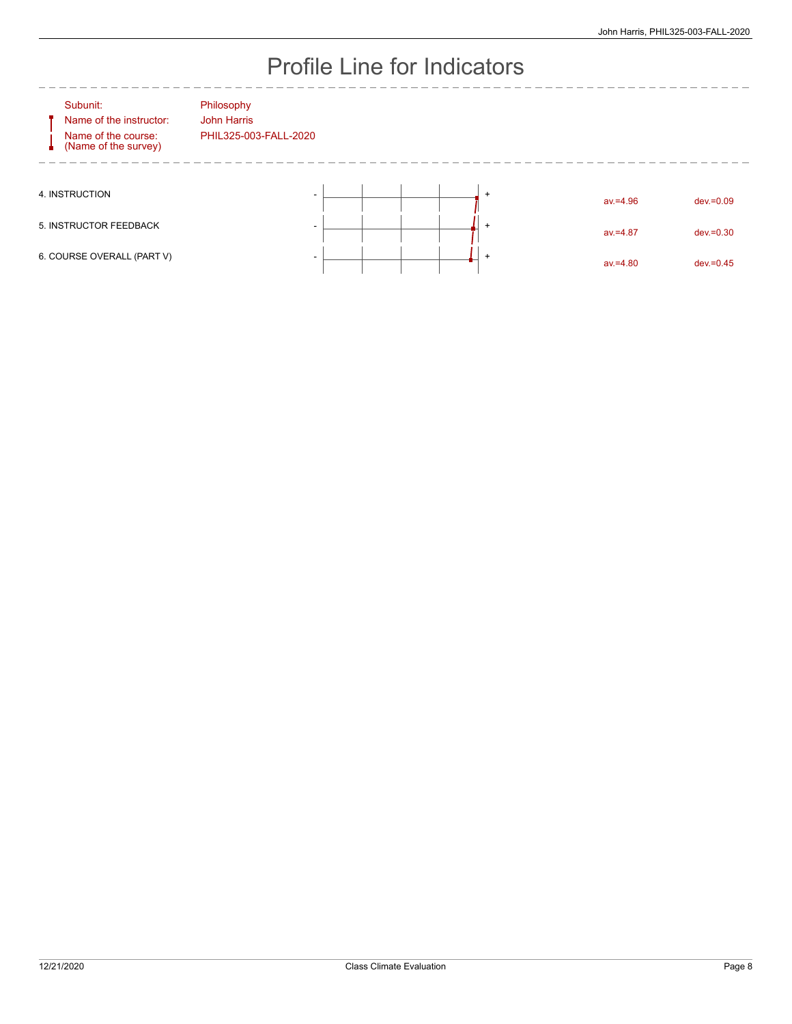# Profile Line for Indicators